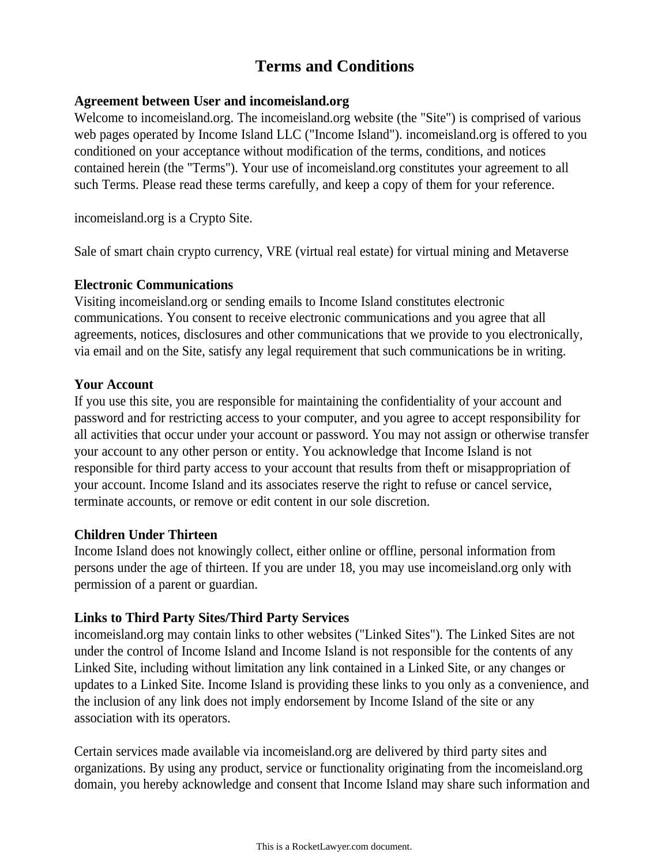# **Terms and Conditions**

## **Agreement between User and incomeisland.org**

Welcome to incomeisland.org. The incomeisland.org website (the "Site") is comprised of various web pages operated by Income Island LLC ("Income Island"). incomeisland.org is offered to you conditioned on your acceptance without modification of the terms, conditions, and notices contained herein (the "Terms"). Your use of incomeisland.org constitutes your agreement to all such Terms. Please read these terms carefully, and keep a copy of them for your reference.

incomeisland.org is a Crypto Site.

Sale of smart chain crypto currency, VRE (virtual real estate) for virtual mining and Metaverse

## **Electronic Communications**

Visiting incomeisland.org or sending emails to Income Island constitutes electronic communications. You consent to receive electronic communications and you agree that all agreements, notices, disclosures and other communications that we provide to you electronically, via email and on the Site, satisfy any legal requirement that such communications be in writing.

## **Your Account**

If you use this site, you are responsible for maintaining the confidentiality of your account and password and for restricting access to your computer, and you agree to accept responsibility for all activities that occur under your account or password. You may not assign or otherwise transfer your account to any other person or entity. You acknowledge that Income Island is not responsible for third party access to your account that results from theft or misappropriation of your account. Income Island and its associates reserve the right to refuse or cancel service, terminate accounts, or remove or edit content in our sole discretion.

# **Children Under Thirteen**

Income Island does not knowingly collect, either online or offline, personal information from persons under the age of thirteen. If you are under 18, you may use incomeisland.org only with permission of a parent or guardian.

# **Links to Third Party Sites/Third Party Services**

incomeisland.org may contain links to other websites ("Linked Sites"). The Linked Sites are not under the control of Income Island and Income Island is not responsible for the contents of any Linked Site, including without limitation any link contained in a Linked Site, or any changes or updates to a Linked Site. Income Island is providing these links to you only as a convenience, and the inclusion of any link does not imply endorsement by Income Island of the site or any association with its operators.

Certain services made available via incomeisland.org are delivered by third party sites and organizations. By using any product, service or functionality originating from the incomeisland.org domain, you hereby acknowledge and consent that Income Island may share such information and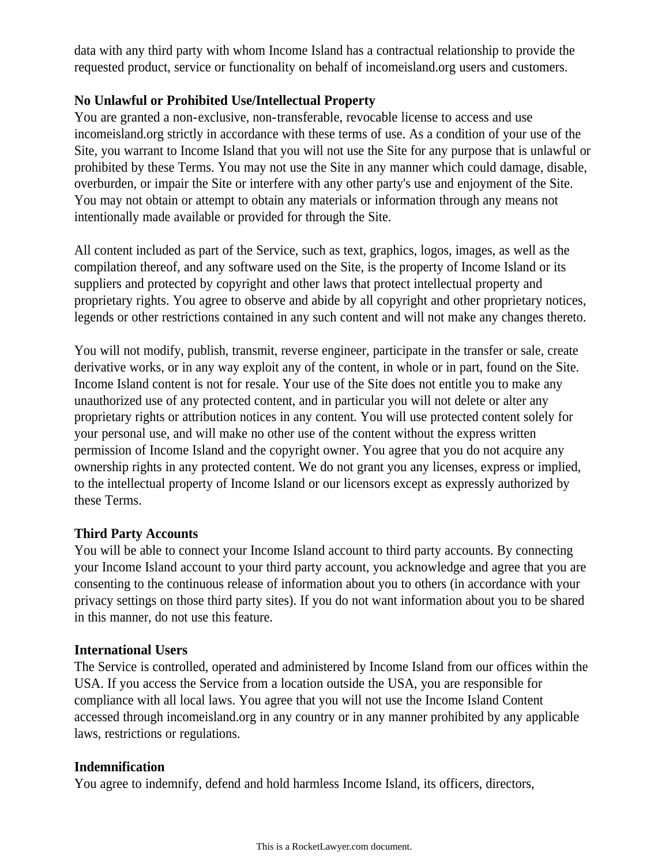data with any third party with whom Income Island has a contractual relationship to provide the requested product, service or functionality on behalf of incomeisland.org users and customers.

# **No Unlawful or Prohibited Use/Intellectual Property**

You are granted a non-exclusive, non-transferable, revocable license to access and use incomeisland.org strictly in accordance with these terms of use. As a condition of your use of the Site, you warrant to Income Island that you will not use the Site for any purpose that is unlawful or prohibited by these Terms. You may not use the Site in any manner which could damage, disable, overburden, or impair the Site or interfere with any other party's use and enjoyment of the Site. You may not obtain or attempt to obtain any materials or information through any means not intentionally made available or provided for through the Site.

All content included as part of the Service, such as text, graphics, logos, images, as well as the compilation thereof, and any software used on the Site, is the property of Income Island or its suppliers and protected by copyright and other laws that protect intellectual property and proprietary rights. You agree to observe and abide by all copyright and other proprietary notices, legends or other restrictions contained in any such content and will not make any changes thereto.

You will not modify, publish, transmit, reverse engineer, participate in the transfer or sale, create derivative works, or in any way exploit any of the content, in whole or in part, found on the Site. Income Island content is not for resale. Your use of the Site does not entitle you to make any unauthorized use of any protected content, and in particular you will not delete or alter any proprietary rights or attribution notices in any content. You will use protected content solely for your personal use, and will make no other use of the content without the express written permission of Income Island and the copyright owner. You agree that you do not acquire any ownership rights in any protected content. We do not grant you any licenses, express or implied, to the intellectual property of Income Island or our licensors except as expressly authorized by these Terms.

#### **Third Party Accounts**

You will be able to connect your Income Island account to third party accounts. By connecting your Income Island account to your third party account, you acknowledge and agree that you are consenting to the continuous release of information about you to others (in accordance with your privacy settings on those third party sites). If you do not want information about you to be shared in this manner, do not use this feature.

#### **International Users**

The Service is controlled, operated and administered by Income Island from our offices within the USA. If you access the Service from a location outside the USA, you are responsible for compliance with all local laws. You agree that you will not use the Income Island Content accessed through incomeisland.org in any country or in any manner prohibited by any applicable laws, restrictions or regulations.

# **Indemnification**

You agree to indemnify, defend and hold harmless Income Island, its officers, directors,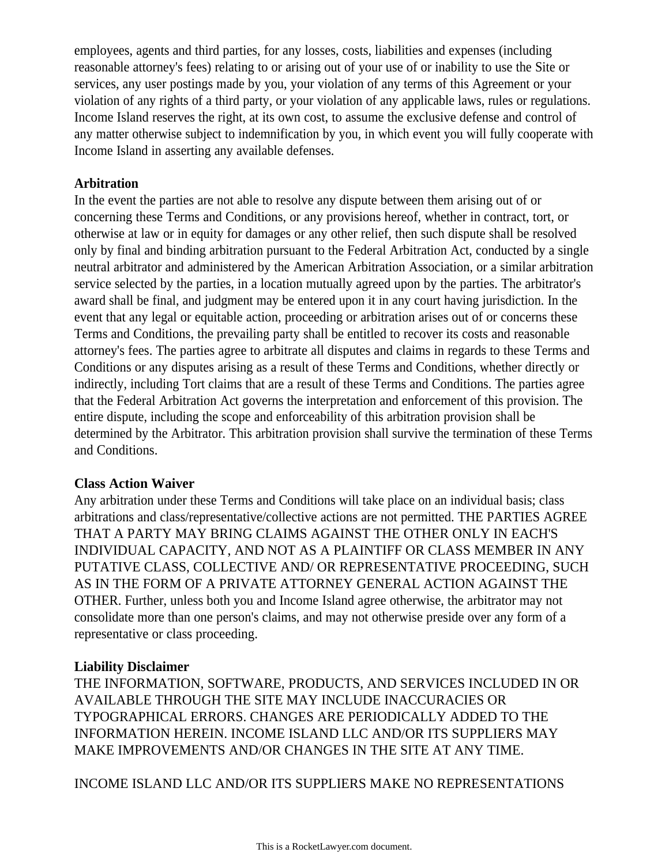employees, agents and third parties, for any losses, costs, liabilities and expenses (including reasonable attorney's fees) relating to or arising out of your use of or inability to use the Site or services, any user postings made by you, your violation of any terms of this Agreement or your violation of any rights of a third party, or your violation of any applicable laws, rules or regulations. Income Island reserves the right, at its own cost, to assume the exclusive defense and control of any matter otherwise subject to indemnification by you, in which event you will fully cooperate with Income Island in asserting any available defenses.

#### **Arbitration**

In the event the parties are not able to resolve any dispute between them arising out of or concerning these Terms and Conditions, or any provisions hereof, whether in contract, tort, or otherwise at law or in equity for damages or any other relief, then such dispute shall be resolved only by final and binding arbitration pursuant to the Federal Arbitration Act, conducted by a single neutral arbitrator and administered by the American Arbitration Association, or a similar arbitration service selected by the parties, in a location mutually agreed upon by the parties. The arbitrator's award shall be final, and judgment may be entered upon it in any court having jurisdiction. In the event that any legal or equitable action, proceeding or arbitration arises out of or concerns these Terms and Conditions, the prevailing party shall be entitled to recover its costs and reasonable attorney's fees. The parties agree to arbitrate all disputes and claims in regards to these Terms and Conditions or any disputes arising as a result of these Terms and Conditions, whether directly or indirectly, including Tort claims that are a result of these Terms and Conditions. The parties agree that the Federal Arbitration Act governs the interpretation and enforcement of this provision. The entire dispute, including the scope and enforceability of this arbitration provision shall be determined by the Arbitrator. This arbitration provision shall survive the termination of these Terms and Conditions.

# **Class Action Waiver**

Any arbitration under these Terms and Conditions will take place on an individual basis; class arbitrations and class/representative/collective actions are not permitted. THE PARTIES AGREE THAT A PARTY MAY BRING CLAIMS AGAINST THE OTHER ONLY IN EACH'S INDIVIDUAL CAPACITY, AND NOT AS A PLAINTIFF OR CLASS MEMBER IN ANY PUTATIVE CLASS, COLLECTIVE AND/ OR REPRESENTATIVE PROCEEDING, SUCH AS IN THE FORM OF A PRIVATE ATTORNEY GENERAL ACTION AGAINST THE OTHER. Further, unless both you and Income Island agree otherwise, the arbitrator may not consolidate more than one person's claims, and may not otherwise preside over any form of a representative or class proceeding.

#### **Liability Disclaimer**

THE INFORMATION, SOFTWARE, PRODUCTS, AND SERVICES INCLUDED IN OR AVAILABLE THROUGH THE SITE MAY INCLUDE INACCURACIES OR TYPOGRAPHICAL ERRORS. CHANGES ARE PERIODICALLY ADDED TO THE INFORMATION HEREIN. INCOME ISLAND LLC AND/OR ITS SUPPLIERS MAY MAKE IMPROVEMENTS AND/OR CHANGES IN THE SITE AT ANY TIME.

INCOME ISLAND LLC AND/OR ITS SUPPLIERS MAKE NO REPRESENTATIONS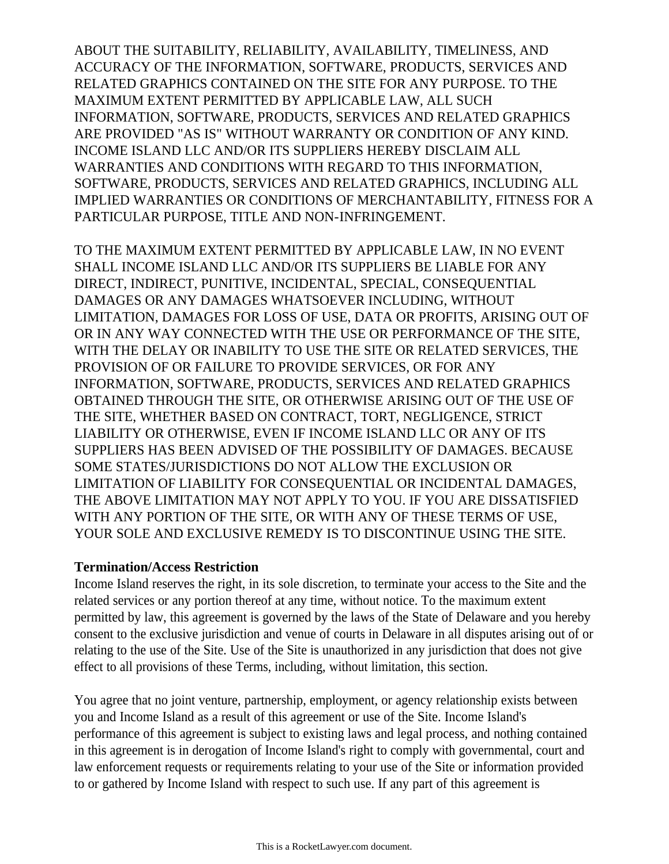ABOUT THE SUITABILITY, RELIABILITY, AVAILABILITY, TIMELINESS, AND ACCURACY OF THE INFORMATION, SOFTWARE, PRODUCTS, SERVICES AND RELATED GRAPHICS CONTAINED ON THE SITE FOR ANY PURPOSE. TO THE MAXIMUM EXTENT PERMITTED BY APPLICABLE LAW, ALL SUCH INFORMATION, SOFTWARE, PRODUCTS, SERVICES AND RELATED GRAPHICS ARE PROVIDED "AS IS" WITHOUT WARRANTY OR CONDITION OF ANY KIND. INCOME ISLAND LLC AND/OR ITS SUPPLIERS HEREBY DISCLAIM ALL WARRANTIES AND CONDITIONS WITH REGARD TO THIS INFORMATION, SOFTWARE, PRODUCTS, SERVICES AND RELATED GRAPHICS, INCLUDING ALL IMPLIED WARRANTIES OR CONDITIONS OF MERCHANTABILITY, FITNESS FOR A PARTICULAR PURPOSE, TITLE AND NON-INFRINGEMENT.

TO THE MAXIMUM EXTENT PERMITTED BY APPLICABLE LAW, IN NO EVENT SHALL INCOME ISLAND LLC AND/OR ITS SUPPLIERS BE LIABLE FOR ANY DIRECT, INDIRECT, PUNITIVE, INCIDENTAL, SPECIAL, CONSEQUENTIAL DAMAGES OR ANY DAMAGES WHATSOEVER INCLUDING, WITHOUT LIMITATION, DAMAGES FOR LOSS OF USE, DATA OR PROFITS, ARISING OUT OF OR IN ANY WAY CONNECTED WITH THE USE OR PERFORMANCE OF THE SITE, WITH THE DELAY OR INABILITY TO USE THE SITE OR RELATED SERVICES, THE PROVISION OF OR FAILURE TO PROVIDE SERVICES, OR FOR ANY INFORMATION, SOFTWARE, PRODUCTS, SERVICES AND RELATED GRAPHICS OBTAINED THROUGH THE SITE, OR OTHERWISE ARISING OUT OF THE USE OF THE SITE, WHETHER BASED ON CONTRACT, TORT, NEGLIGENCE, STRICT LIABILITY OR OTHERWISE, EVEN IF INCOME ISLAND LLC OR ANY OF ITS SUPPLIERS HAS BEEN ADVISED OF THE POSSIBILITY OF DAMAGES. BECAUSE SOME STATES/JURISDICTIONS DO NOT ALLOW THE EXCLUSION OR LIMITATION OF LIABILITY FOR CONSEQUENTIAL OR INCIDENTAL DAMAGES, THE ABOVE LIMITATION MAY NOT APPLY TO YOU. IF YOU ARE DISSATISFIED WITH ANY PORTION OF THE SITE, OR WITH ANY OF THESE TERMS OF USE, YOUR SOLE AND EXCLUSIVE REMEDY IS TO DISCONTINUE USING THE SITE.

#### **Termination/Access Restriction**

Income Island reserves the right, in its sole discretion, to terminate your access to the Site and the related services or any portion thereof at any time, without notice. To the maximum extent permitted by law, this agreement is governed by the laws of the State of Delaware and you hereby consent to the exclusive jurisdiction and venue of courts in Delaware in all disputes arising out of or relating to the use of the Site. Use of the Site is unauthorized in any jurisdiction that does not give effect to all provisions of these Terms, including, without limitation, this section.

You agree that no joint venture, partnership, employment, or agency relationship exists between you and Income Island as a result of this agreement or use of the Site. Income Island's performance of this agreement is subject to existing laws and legal process, and nothing contained in this agreement is in derogation of Income Island's right to comply with governmental, court and law enforcement requests or requirements relating to your use of the Site or information provided to or gathered by Income Island with respect to such use. If any part of this agreement is